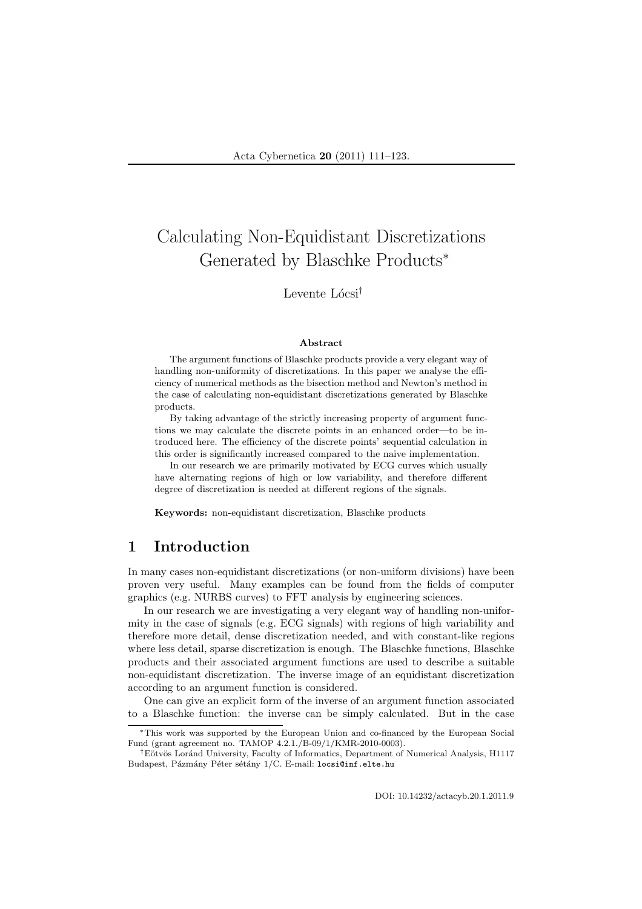# Calculating Non-Equidistant Discretizations Generated by Blaschke Products<sup>∗</sup>

# Levente Lócsi<sup>†</sup>

#### Abstract

The argument functions of Blaschke products provide a very elegant way of handling non-uniformity of discretizations. In this paper we analyse the efficiency of numerical methods as the bisection method and Newton's method in the case of calculating non-equidistant discretizations generated by Blaschke products.

By taking advantage of the strictly increasing property of argument functions we may calculate the discrete points in an enhanced order—to be introduced here. The efficiency of the discrete points' sequential calculation in this order is significantly increased compared to the naive implementation.

In our research we are primarily motivated by ECG curves which usually have alternating regions of high or low variability, and therefore different degree of discretization is needed at different regions of the signals.

Keywords: non-equidistant discretization, Blaschke products

# 1 Introduction

In many cases non-equidistant discretizations (or non-uniform divisions) have been proven very useful. Many examples can be found from the fields of computer graphics (e.g. NURBS curves) to FFT analysis by engineering sciences.

In our research we are investigating a very elegant way of handling non-uniformity in the case of signals (e.g. ECG signals) with regions of high variability and therefore more detail, dense discretization needed, and with constant-like regions where less detail, sparse discretization is enough. The Blaschke functions, Blaschke products and their associated argument functions are used to describe a suitable non-equidistant discretization. The inverse image of an equidistant discretization according to an argument function is considered.

One can give an explicit form of the inverse of an argument function associated to a Blaschke function: the inverse can be simply calculated. But in the case

DOI: 10.14232/actacyb.20.1.2011.9

<sup>∗</sup>This work was supported by the European Union and co-financed by the European Social Fund (grant agreement no. TAMOP 4.2.1./B-09/1/KMR-2010-0003).

<sup>&</sup>lt;sup>†</sup>Eötvös Loránd University, Faculty of Informatics, Department of Numerical Analysis, H1117 Budapest, Pázmány Péter sétány 1/C. E-mail: locsi@inf.elte.hu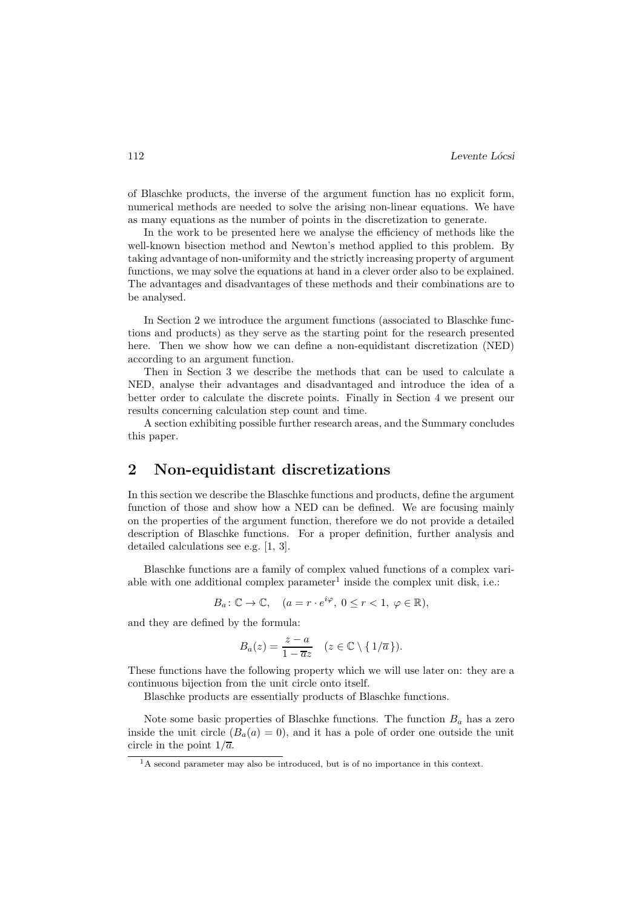of Blaschke products, the inverse of the argument function has no explicit form, numerical methods are needed to solve the arising non-linear equations. We have as many equations as the number of points in the discretization to generate.

In the work to be presented here we analyse the efficiency of methods like the well-known bisection method and Newton's method applied to this problem. By taking advantage of non-uniformity and the strictly increasing property of argument functions, we may solve the equations at hand in a clever order also to be explained. The advantages and disadvantages of these methods and their combinations are to be analysed.

In Section 2 we introduce the argument functions (associated to Blaschke functions and products) as they serve as the starting point for the research presented here. Then we show how we can define a non-equidistant discretization (NED) according to an argument function.

Then in Section 3 we describe the methods that can be used to calculate a NED, analyse their advantages and disadvantaged and introduce the idea of a better order to calculate the discrete points. Finally in Section 4 we present our results concerning calculation step count and time.

A section exhibiting possible further research areas, and the Summary concludes this paper.

# 2 Non-equidistant discretizations

In this section we describe the Blaschke functions and products, define the argument function of those and show how a NED can be defined. We are focusing mainly on the properties of the argument function, therefore we do not provide a detailed description of Blaschke functions. For a proper definition, further analysis and detailed calculations see e.g. [1, 3].

Blaschke functions are a family of complex valued functions of a complex variable with one additional complex parameter<sup>1</sup> inside the complex unit disk, i.e.:

$$
B_a: \mathbb{C} \to \mathbb{C}, \quad (a = r \cdot e^{i\varphi}, \ 0 \le r < 1, \ \varphi \in \mathbb{R}),
$$

and they are defined by the formula:

$$
B_a(z) = \frac{z-a}{1-\overline{a}z} \quad (z \in \mathbb{C} \setminus \{1/\overline{a}\}).
$$

These functions have the following property which we will use later on: they are a continuous bijection from the unit circle onto itself.

Blaschke products are essentially products of Blaschke functions.

Note some basic properties of Blaschke functions. The function  $B_a$  has a zero inside the unit circle  $(B_a(a) = 0)$ , and it has a pole of order one outside the unit circle in the point  $1/\overline{a}$ .

 $1<sup>1</sup>A$  second parameter may also be introduced, but is of no importance in this context.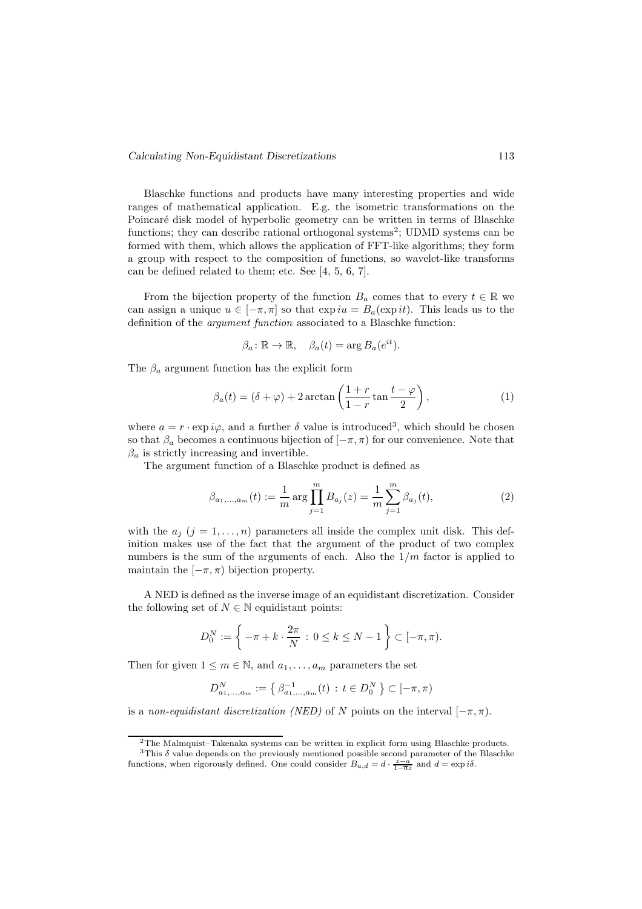Blaschke functions and products have many interesting properties and wide ranges of mathematical application. E.g. the isometric transformations on the Poincaré disk model of hyperbolic geometry can be written in terms of Blaschke functions; they can describe rational orthogonal systems<sup>2</sup>; UDMD systems can be formed with them, which allows the application of FFT-like algorithms; they form a group with respect to the composition of functions, so wavelet-like transforms can be defined related to them; etc. See [4, 5, 6, 7].

From the bijection property of the function  $B_a$  comes that to every  $t \in \mathbb{R}$  we can assign a unique  $u \in [-\pi, \pi]$  so that  $\exp iu = B_a(\exp it)$ . This leads us to the definition of the argument function associated to a Blaschke function:

$$
\beta_a \colon \mathbb{R} \to \mathbb{R}, \quad \beta_a(t) = \arg B_a(e^{it}).
$$

The  $\beta_a$  argument function has the explicit form

$$
\beta_a(t) = (\delta + \varphi) + 2\arctan\left(\frac{1+r}{1-r}\tan\frac{t-\varphi}{2}\right),\tag{1}
$$

where  $a = r \cdot \exp i\varphi$ , and a further  $\delta$  value is introduced<sup>3</sup>, which should be chosen so that  $\beta_a$  becomes a continuous bijection of  $[-\pi, \pi)$  for our convenience. Note that  $\beta_a$  is strictly increasing and invertible.

The argument function of a Blaschke product is defined as

$$
\beta_{a_1,\dots,a_m}(t) := \frac{1}{m} \arg \prod_{j=1}^m B_{a_j}(z) = \frac{1}{m} \sum_{j=1}^m \beta_{a_j}(t),\tag{2}
$$

with the  $a_j$   $(j = 1, \ldots, n)$  parameters all inside the complex unit disk. This definition makes use of the fact that the argument of the product of two complex numbers is the sum of the arguments of each. Also the  $1/m$  factor is applied to maintain the  $[-\pi, \pi)$  bijection property.

A NED is defined as the inverse image of an equidistant discretization. Consider the following set of  $N \in \mathbb{N}$  equidistant points:

$$
D_0^N := \left\{ -\pi + k \cdot \frac{2\pi}{N} : 0 \le k \le N - 1 \right\} \subset [-\pi, \pi).
$$

Then for given  $1 \leq m \in \mathbb{N}$ , and  $a_1, \ldots, a_m$  parameters the set

$$
D_{a_1,\dots,a_m}^N := \left\{ \beta_{a_1,\dots,a_m}^{-1}(t) : t \in D_0^N \right\} \subset [-\pi,\pi)
$$

is a non-equidistant discretization (NED) of N points on the interval  $[-\pi, \pi)$ .

<sup>2</sup>The Malmquist–Takenaka systems can be written in explicit form using Blaschke products.

 $3$ This  $\delta$  value depends on the previously mentioned possible second parameter of the Blaschke functions, when rigorously defined. One could consider  $B_{a,d} = d \cdot \frac{z-a}{1-\overline{a}z}$  and  $d = \exp i\delta$ .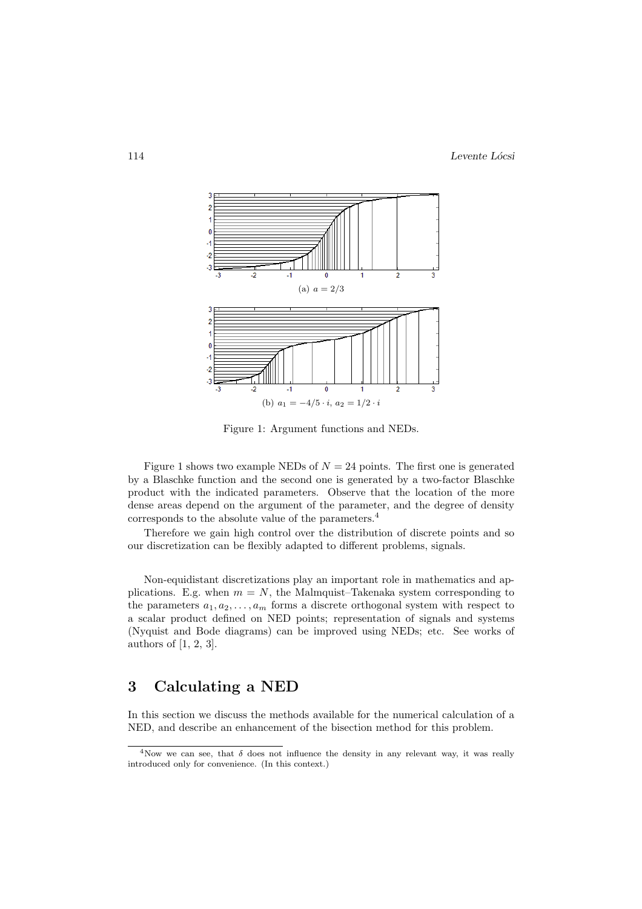

Figure 1: Argument functions and NEDs.

Figure 1 shows two example NEDs of  $N = 24$  points. The first one is generated by a Blaschke function and the second one is generated by a two-factor Blaschke product with the indicated parameters. Observe that the location of the more dense areas depend on the argument of the parameter, and the degree of density corresponds to the absolute value of the parameters.<sup>4</sup>

Therefore we gain high control over the distribution of discrete points and so our discretization can be flexibly adapted to different problems, signals.

Non-equidistant discretizations play an important role in mathematics and applications. E.g. when  $m = N$ , the Malmquist–Takenaka system corresponding to the parameters  $a_1, a_2, \ldots, a_m$  forms a discrete orthogonal system with respect to a scalar product defined on NED points; representation of signals and systems (Nyquist and Bode diagrams) can be improved using NEDs; etc. See works of authors of [1, 2, 3].

# 3 Calculating a NED

In this section we discuss the methods available for the numerical calculation of a NED, and describe an enhancement of the bisection method for this problem.

<sup>&</sup>lt;sup>4</sup>Now we can see, that  $\delta$  does not influence the density in any relevant way, it was really introduced only for convenience. (In this context.)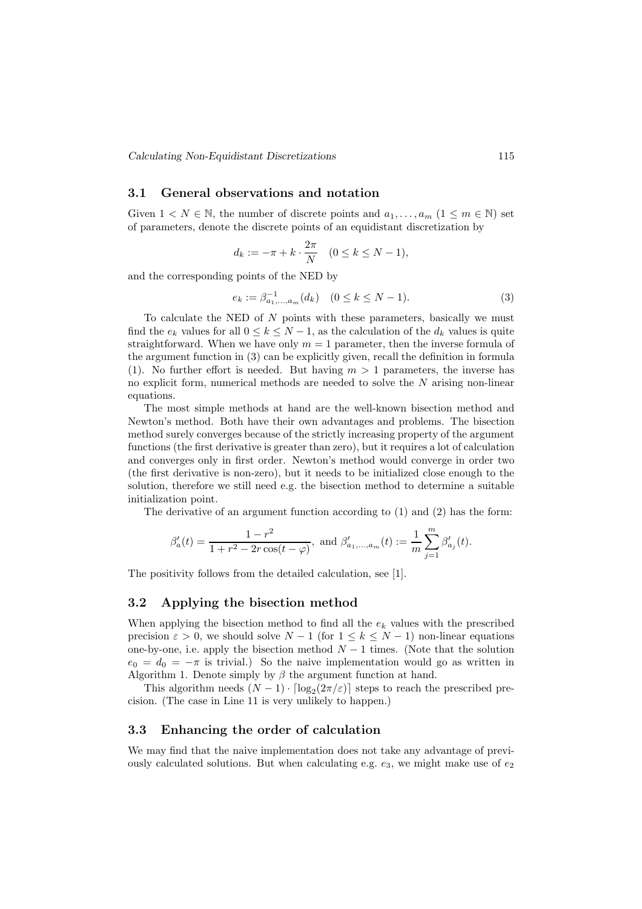Calculating Non-Equidistant Discretizations 115

#### 3.1 General observations and notation

Given  $1 \lt N \in \mathbb{N}$ , the number of discrete points and  $a_1, \ldots, a_m$   $(1 \leq m \in \mathbb{N})$  set of parameters, denote the discrete points of an equidistant discretization by

$$
d_k := -\pi + k \cdot \frac{2\pi}{N} \quad (0 \le k \le N - 1),
$$

and the corresponding points of the NED by

$$
e_k := \beta_{a_1,\dots,a_m}^{-1}(d_k) \quad (0 \le k \le N-1). \tag{3}
$$

To calculate the NED of  $N$  points with these parameters, basically we must find the  $e_k$  values for all  $0 \leq k \leq N-1$ , as the calculation of the  $d_k$  values is quite straightforward. When we have only  $m = 1$  parameter, then the inverse formula of the argument function in (3) can be explicitly given, recall the definition in formula (1). No further effort is needed. But having  $m > 1$  parameters, the inverse has no explicit form, numerical methods are needed to solve the N arising non-linear equations.

The most simple methods at hand are the well-known bisection method and Newton's method. Both have their own advantages and problems. The bisection method surely converges because of the strictly increasing property of the argument functions (the first derivative is greater than zero), but it requires a lot of calculation and converges only in first order. Newton's method would converge in order two (the first derivative is non-zero), but it needs to be initialized close enough to the solution, therefore we still need e.g. the bisection method to determine a suitable initialization point.

The derivative of an argument function according to (1) and (2) has the form:

$$
\beta_a'(t)=\frac{1-r^2}{1+r^2-2r\cos(t-\varphi)},\text{ and }\beta_{a_1,...,a_m}'(t):=\frac{1}{m}\sum_{j=1}^m\beta_{a_j}'(t).
$$

The positivity follows from the detailed calculation, see [1].

#### 3.2 Applying the bisection method

When applying the bisection method to find all the  $e_k$  values with the prescribed precision  $\varepsilon > 0$ , we should solve  $N - 1$  (for  $1 \leq k \leq N - 1$ ) non-linear equations one-by-one, i.e. apply the bisection method  $N-1$  times. (Note that the solution  $e_0 = d_0 = -\pi$  is trivial.) So the naive implementation would go as written in Algorithm 1. Denote simply by  $\beta$  the argument function at hand.

This algorithm needs  $(N-1) \cdot \lceil \log_2(2\pi/\varepsilon) \rceil$  steps to reach the prescribed precision. (The case in Line 11 is very unlikely to happen.)

#### 3.3 Enhancing the order of calculation

We may find that the naive implementation does not take any advantage of previously calculated solutions. But when calculating e.g.  $e_3$ , we might make use of  $e_2$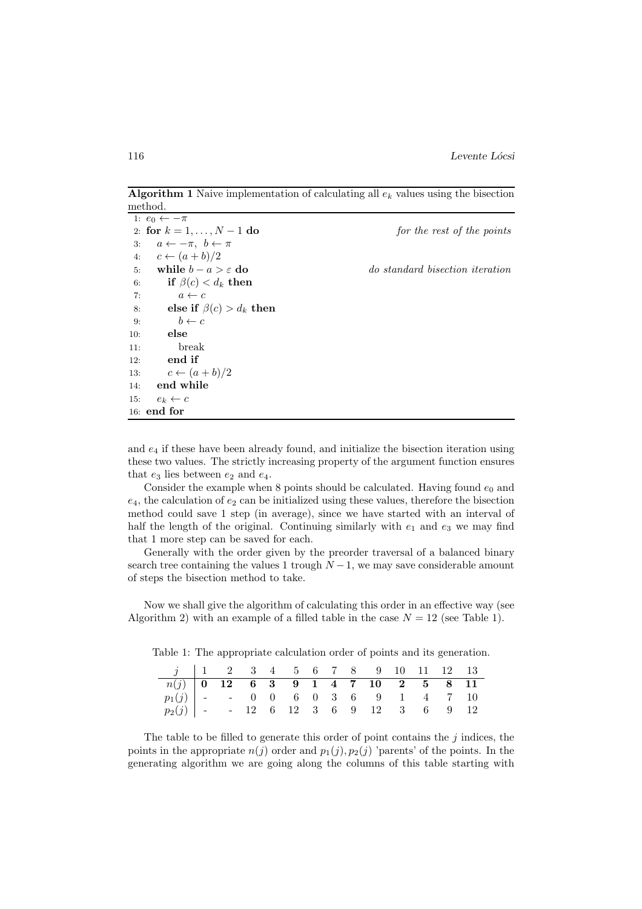**Algorithm 1** Naive implementation of calculating all  $e_k$  values using the bisection method.

|     | 1: $e_0 \leftarrow -\pi$              |                                 |
|-----|---------------------------------------|---------------------------------|
|     | 2: for $k = 1, , N - 1$ do            | for the rest of the points      |
| 3:  | $a \leftarrow -\pi, b \leftarrow \pi$ |                                 |
| 4:  | $c \leftarrow (a+b)/2$                |                                 |
| 5:  | while $b - a > \varepsilon$ do        | do standard bisection iteration |
| 6:  | if $\beta(c) < d_k$ then              |                                 |
| 7:  | $a \leftarrow c$                      |                                 |
| 8:  | else if $\beta(c) > d_k$ then         |                                 |
| 9:  | $b \leftarrow c$                      |                                 |
| 10: | else                                  |                                 |
| 11: | break                                 |                                 |
| 12: | end if                                |                                 |
| 13: | $c \leftarrow (a+b)/2$                |                                 |
|     | 14: end while                         |                                 |
| 15: | $e_k \leftarrow c$                    |                                 |
|     | $16:$ end for                         |                                 |

and  $e_4$  if these have been already found, and initialize the bisection iteration using these two values. The strictly increasing property of the argument function ensures that  $e_3$  lies between  $e_2$  and  $e_4$ .

Consider the example when 8 points should be calculated. Having found  $e_0$  and  $e_4$ , the calculation of  $e_2$  can be initialized using these values, therefore the bisection method could save 1 step (in average), since we have started with an interval of half the length of the original. Continuing similarly with  $e_1$  and  $e_3$  we may find that 1 more step can be saved for each.

Generally with the order given by the preorder traversal of a balanced binary search tree containing the values 1 trough  $N-1$ , we may save considerable amount of steps the bisection method to take.

Now we shall give the algorithm of calculating this order in an effective way (see Algorithm 2) with an example of a filled table in the case  $N = 12$  (see Table 1).

Table 1: The appropriate calculation order of points and its generation.

| $j$   1 2 3 4 5 6 7 8 9 10 11 12 13  |  |  |  |  |  |  |  |
|--------------------------------------|--|--|--|--|--|--|--|
|                                      |  |  |  |  |  |  |  |
|                                      |  |  |  |  |  |  |  |
| $p_2(j)$ - 12 6 12 3 6 9 12 3 6 9 12 |  |  |  |  |  |  |  |

The table to be filled to generate this order of point contains the  $j$  indices, the points in the appropriate  $n(j)$  order and  $p_1(j), p_2(j)$  'parents' of the points. In the generating algorithm we are going along the columns of this table starting with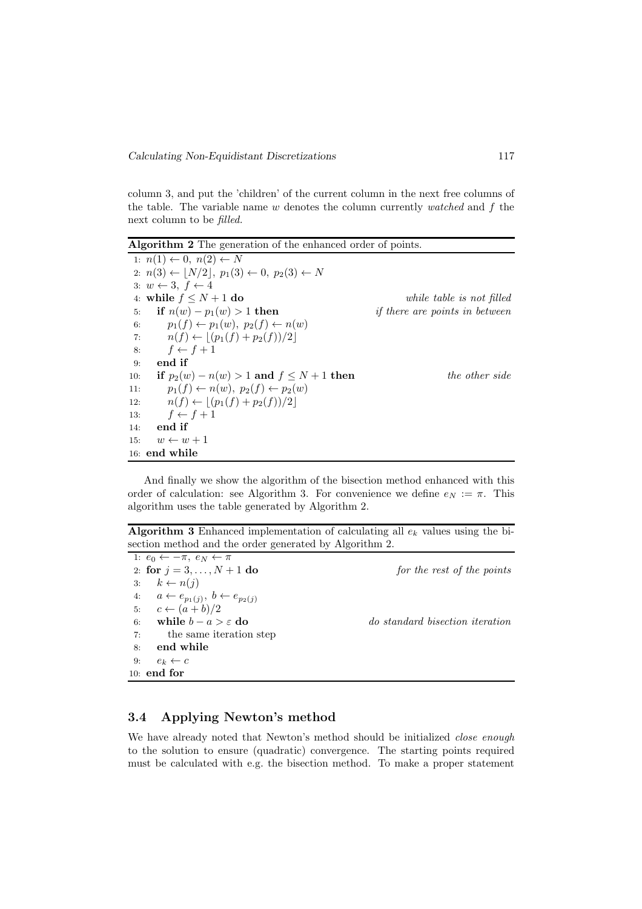column 3, and put the 'children' of the current column in the next free columns of the table. The variable name  $w$  denotes the column currently  $\textit{watched}$  and  $f$  the next column to be filled.

Algorithm 2 The generation of the enhanced order of points.

1:  $n(1) \leftarrow 0, n(2) \leftarrow N$ 2:  $n(3) \leftarrow [N/2], p_1(3) \leftarrow 0, p_2(3) \leftarrow N$ 3:  $w \leftarrow 3, f \leftarrow 4$ 4: while  $f \leq N + 1$  do while table is not filled 5: if  $n(w) - p_1(w) > 1$  then if there are points in between 6:  $p_1(f) \leftarrow p_1(w), p_2(f) \leftarrow n(w)$ 7:  $n(f) \leftarrow \lfloor (p_1(f) + p_2(f))/2 \rfloor$ 8:  $f \leftarrow f + 1$ 9: end if 10: if  $p_2(w) - n(w) > 1$  and  $f \le N + 1$  then the other side 11:  $p_1(f) \leftarrow n(w), p_2(f) \leftarrow p_2(w)$ 12:  $n(f) \leftarrow |(p_1(f) + p_2(f))/2|$ 13:  $f \leftarrow f + 1$ 14: end if 15:  $w \leftarrow w + 1$ 16: end while

And finally we show the algorithm of the bisection method enhanced with this order of calculation: see Algorithm 3. For convenience we define  $e_N := \pi$ . This algorithm uses the table generated by Algorithm 2.

Algorithm 3 Enhanced implementation of calculating all  $e_k$  values using the bisection method and the order generated by Algorithm 2.

1:  $e_0 \leftarrow -\pi$ ,  $e_N \leftarrow \pi$ 2: for  $j = 3, ..., N + 1$  do for the rest of the points 3:  $k \leftarrow n(j)$ 4:  $a \leftarrow e_{p_1(j)}, b \leftarrow e_{p_2(j)}$ 5:  $c \leftarrow (a+b)/2$ 6: while  $b - a > \varepsilon$  do do standard bisection iteration 7: the same iteration step 8: end while 9:  $e_k \leftarrow c$ 10: end for

#### 3.4 Applying Newton's method

We have already noted that Newton's method should be initialized *close enough* to the solution to ensure (quadratic) convergence. The starting points required must be calculated with e.g. the bisection method. To make a proper statement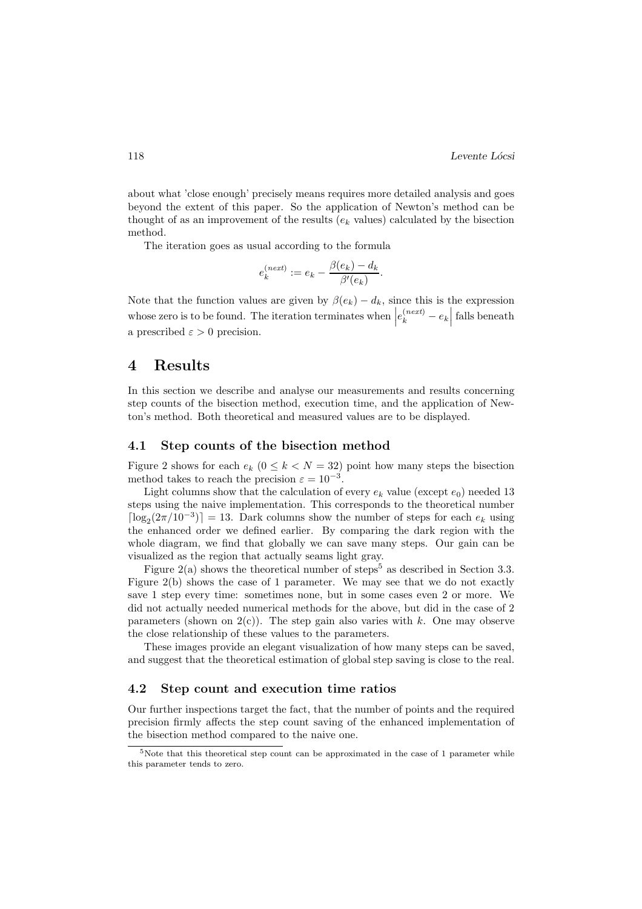about what 'close enough' precisely means requires more detailed analysis and goes beyond the extent of this paper. So the application of Newton's method can be thought of as an improvement of the results  $(e_k$  values) calculated by the bisection method.

The iteration goes as usual according to the formula

$$
e_k^{(next)} := e_k - \frac{\beta(e_k) - d_k}{\beta'(e_k)}.
$$

Note that the function values are given by  $\beta(e_k) - d_k$ , since this is the expression whose zero is to be found. The iteration terminates when  $\left|e_k^{(next)} - e_k\right|$  falls beneath a prescribed  $\varepsilon > 0$  precision.

## 4 Results

In this section we describe and analyse our measurements and results concerning step counts of the bisection method, execution time, and the application of Newton's method. Both theoretical and measured values are to be displayed.

#### 4.1 Step counts of the bisection method

Figure 2 shows for each  $e_k$  ( $0 \le k \le N = 32$ ) point how many steps the bisection method takes to reach the precision  $\varepsilon = 10^{-3}$ .

Light columns show that the calculation of every  $e_k$  value (except  $e_0$ ) needed 13 steps using the naive implementation. This corresponds to the theoretical number  $\lceil \log_2(2\pi/10^{-3}) \rceil = 13$ . Dark columns show the number of steps for each  $e_k$  using the enhanced order we defined earlier. By comparing the dark region with the whole diagram, we find that globally we can save many steps. Our gain can be visualized as the region that actually seams light gray.

Figure 2(a) shows the theoretical number of steps<sup>5</sup> as described in Section 3.3. Figure 2(b) shows the case of 1 parameter. We may see that we do not exactly save 1 step every time: sometimes none, but in some cases even 2 or more. We did not actually needed numerical methods for the above, but did in the case of 2 parameters (shown on  $2(c)$ ). The step gain also varies with k. One may observe the close relationship of these values to the parameters.

These images provide an elegant visualization of how many steps can be saved, and suggest that the theoretical estimation of global step saving is close to the real.

#### 4.2 Step count and execution time ratios

Our further inspections target the fact, that the number of points and the required precision firmly affects the step count saving of the enhanced implementation of the bisection method compared to the naive one.

<sup>5</sup>Note that this theoretical step count can be approximated in the case of 1 parameter while this parameter tends to zero.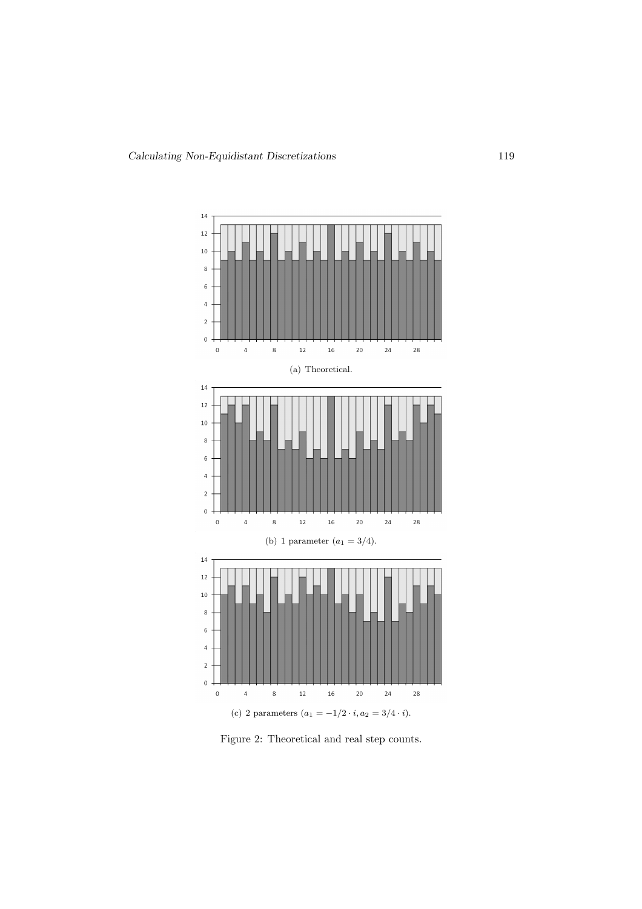

Figure 2: Theoretical and real step counts.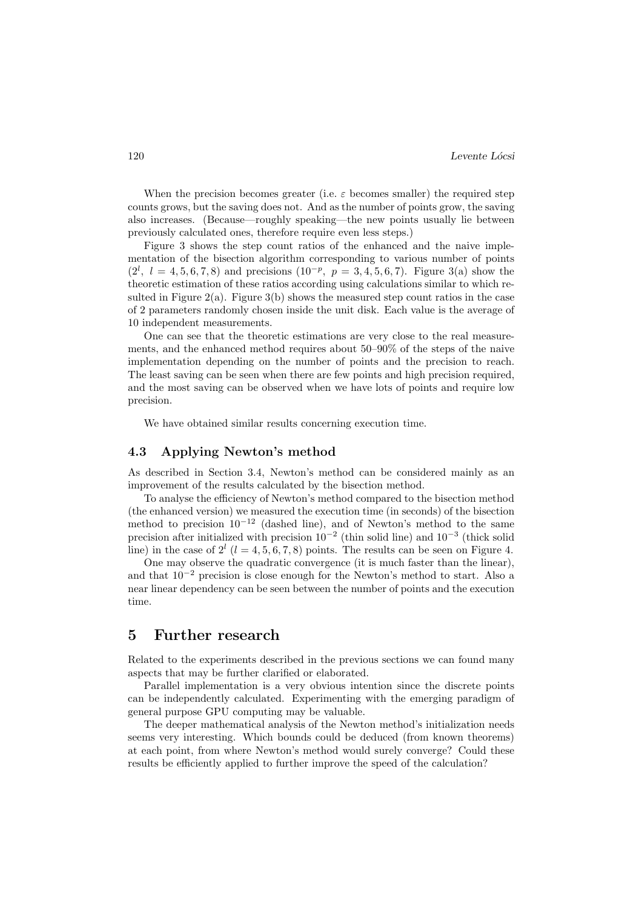When the precision becomes greater (i.e.  $\varepsilon$  becomes smaller) the required step counts grows, but the saving does not. And as the number of points grow, the saving also increases. (Because—roughly speaking—the new points usually lie between previously calculated ones, therefore require even less steps.)

Figure 3 shows the step count ratios of the enhanced and the naive implementation of the bisection algorithm corresponding to various number of points  $(2^l, l = 4, 5, 6, 7, 8)$  and precisions  $(10^{-p}, p = 3, 4, 5, 6, 7)$ . Figure 3(a) show the theoretic estimation of these ratios according using calculations similar to which resulted in Figure 2(a). Figure 3(b) shows the measured step count ratios in the case of 2 parameters randomly chosen inside the unit disk. Each value is the average of 10 independent measurements.

One can see that the theoretic estimations are very close to the real measurements, and the enhanced method requires about 50–90% of the steps of the naive implementation depending on the number of points and the precision to reach. The least saving can be seen when there are few points and high precision required, and the most saving can be observed when we have lots of points and require low precision.

We have obtained similar results concerning execution time.

#### 4.3 Applying Newton's method

As described in Section 3.4, Newton's method can be considered mainly as an improvement of the results calculated by the bisection method.

To analyse the efficiency of Newton's method compared to the bisection method (the enhanced version) we measured the execution time (in seconds) of the bisection method to precision  $10^{-12}$  (dashed line), and of Newton's method to the same precision after initialized with precision  $10^{-2}$  (thin solid line) and  $10^{-3}$  (thick solid line) in the case of  $2^l$  ( $l = 4, 5, 6, 7, 8$ ) points. The results can be seen on Figure 4.

One may observe the quadratic convergence (it is much faster than the linear), and that 10<sup>−</sup><sup>2</sup> precision is close enough for the Newton's method to start. Also a near linear dependency can be seen between the number of points and the execution time.

## 5 Further research

Related to the experiments described in the previous sections we can found many aspects that may be further clarified or elaborated.

Parallel implementation is a very obvious intention since the discrete points can be independently calculated. Experimenting with the emerging paradigm of general purpose GPU computing may be valuable.

The deeper mathematical analysis of the Newton method's initialization needs seems very interesting. Which bounds could be deduced (from known theorems) at each point, from where Newton's method would surely converge? Could these results be efficiently applied to further improve the speed of the calculation?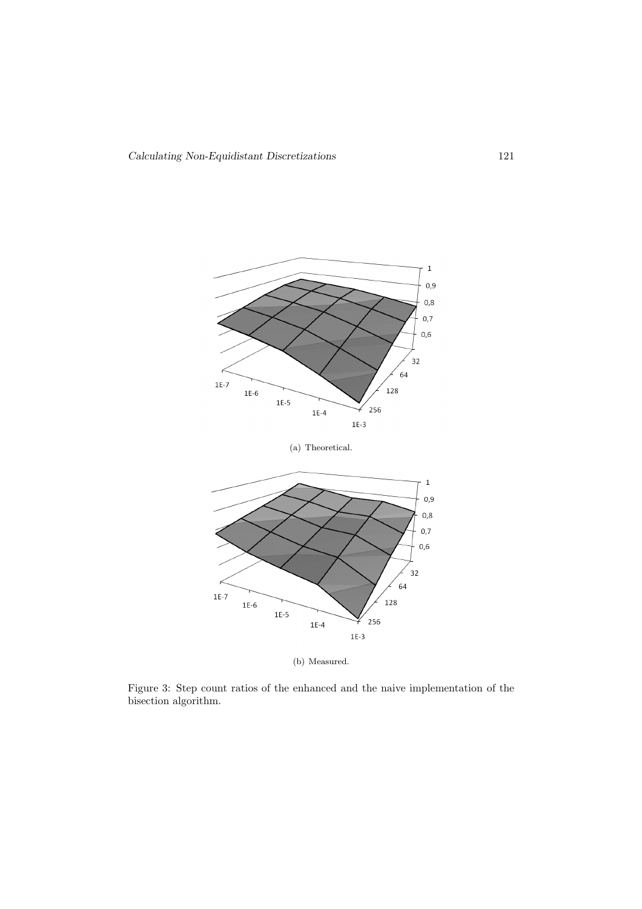

(b) Measured.

Figure 3: Step count ratios of the enhanced and the naive implementation of the bisection algorithm.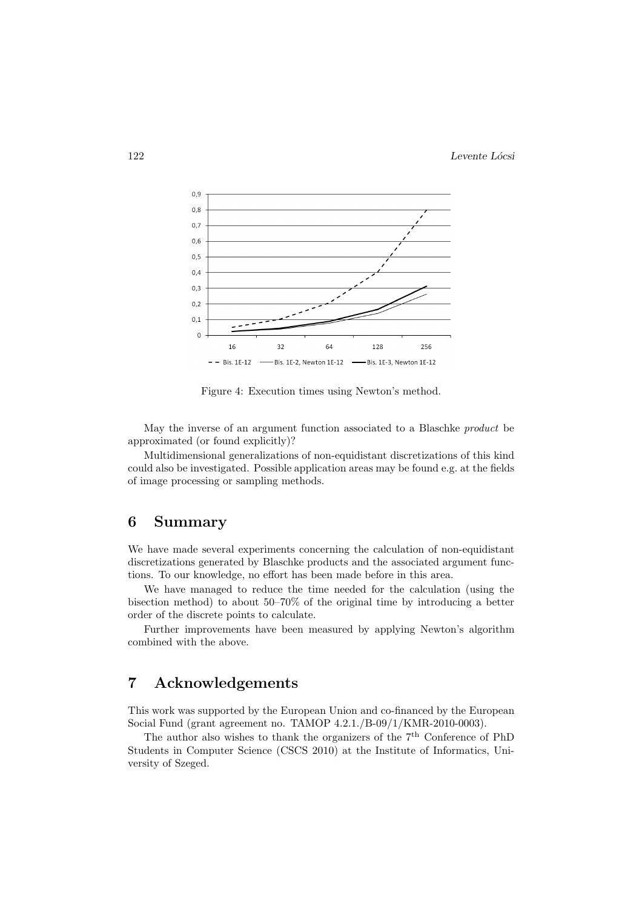122 Levente Lócsi



Figure 4: Execution times using Newton's method.

May the inverse of an argument function associated to a Blaschke product be approximated (or found explicitly)?

Multidimensional generalizations of non-equidistant discretizations of this kind could also be investigated. Possible application areas may be found e.g. at the fields of image processing or sampling methods.

# 6 Summary

We have made several experiments concerning the calculation of non-equidistant discretizations generated by Blaschke products and the associated argument functions. To our knowledge, no effort has been made before in this area.

We have managed to reduce the time needed for the calculation (using the bisection method) to about 50–70% of the original time by introducing a better order of the discrete points to calculate.

Further improvements have been measured by applying Newton's algorithm combined with the above.

# 7 Acknowledgements

This work was supported by the European Union and co-financed by the European Social Fund (grant agreement no. TAMOP 4.2.1./B-09/1/KMR-2010-0003).

The author also wishes to thank the organizers of the  $7<sup>th</sup>$  Conference of PhD Students in Computer Science (CSCS 2010) at the Institute of Informatics, University of Szeged.